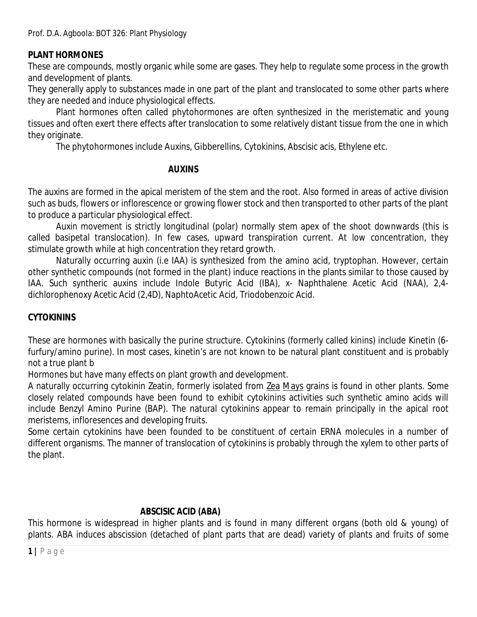## **PLANT HORMONES**

These are compounds, mostly organic while some are gases. They help to regulate some process in the growth and development of plants.

They generally apply to substances made in one part of the plant and translocated to some other parts where they are needed and induce physiological effects.

Plant hormones often called phytohormones are often synthesized in the meristematic and young tissues and often exert there effects after translocation to some relatively distant tissue from the one in which they originate.

The phytohormones include Auxins, Gibberellins, Cytokinins, Abscisic acis, Ethylene etc.

#### **AUXINS**

The auxins are formed in the apical meristem of the stem and the root. Also formed in areas of active division such as buds, flowers or inflorescence or growing flower stock and then transported to other parts of the plant to produce a particular physiological effect.

Auxin movement is strictly longitudinal (polar) normally stem apex of the shoot downwards (this is called basipetal translocation). In few cases, upward transpiration current. At low concentration, they stimulate growth while at high concentration they retard growth.

Naturally occurring auxin (i.e IAA) is synthesized from the amino acid, tryptophan. However, certain other synthetic compounds (not formed in the plant) induce reactions in the plants similar to those caused by IAA. Such syntheric auxins include Indole Butyric Acid (IBA), x- Naphthalene Acetic Acid (NAA), 2,4 dichlorophenoxy Acetic Acid (2,4D), NaphtoAcetic Acid, Triodobenzoic Acid.

## **CYTOKININS**

These are hormones with basically the purine structure. Cytokinins (formerly called kinins) include Kinetin (6 furfury/amino purine). In most cases, kinetin's are not known to be natural plant constituent and is probably not a true plant b

Hormones but have many effects on plant growth and development.

A naturally occurring cytokinin Zeatin, formerly isolated from Zea Mays grains is found in other plants. Some closely related compounds have been found to exhibit cytokinins activities such synthetic amino acids will include Benzyl Amino Purine (BAP). The natural cytokinins appear to remain principally in the apical root meristems, infloresences and developing fruits.

Some certain cytokinins have been founded to be constituent of certain ERNA molecules in a number of different organisms. The manner of translocation of cytokinins is probably through the xylem to other parts of the plant.

## **ABSCISIC ACID (ABA)**

This hormone is widespread in higher plants and is found in many different organs (both old & young) of plants. ABA induces abscission (detached of plant parts that are dead) variety of plants and fruits of some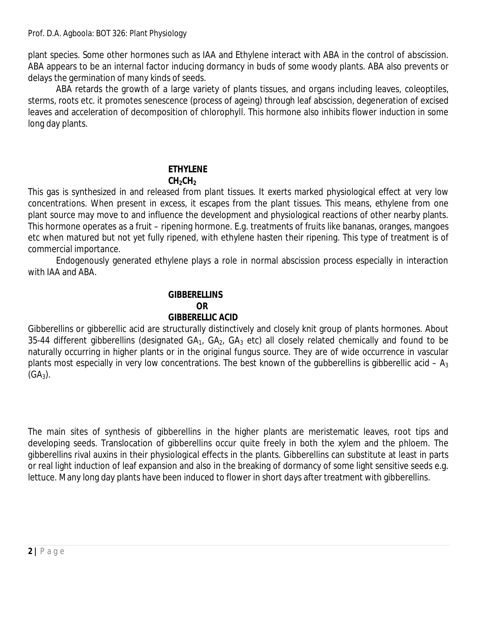plant species. Some other hormones such as IAA and Ethylene interact with ABA in the control of abscission. ABA appears to be an internal factor inducing dormancy in buds of some woody plants. ABA also prevents or delays the germination of many kinds of seeds.

ABA retards the growth of a large variety of plants tissues, and organs including leaves, coleoptiles, sterms, roots etc. it promotes senescence (process of ageing) through leaf abscission, degeneration of excised leaves and acceleration of decomposition of chlorophyll. This hormone also inhibits flower induction in some long day plants.

#### **ETHYLENE CH2CH<sup>2</sup>**

This gas is synthesized in and released from plant tissues. It exerts marked physiological effect at very low concentrations. When present in excess, it escapes from the plant tissues. This means, ethylene from one plant source may move to and influence the development and physiological reactions of other nearby plants. This hormone operates as a fruit – ripening hormone. E.g. treatments of fruits like bananas, oranges, mangoes etc when matured but not yet fully ripened, with ethylene hasten their ripening. This type of treatment is of commercial importance.

Endogenously generated ethylene plays a role in normal abscission process especially in interaction with IAA and ABA.

# **GIBBERELLINS OR GIBBERELLIC ACID**

Gibberellins or gibberellic acid are structurally distinctively and closely knit group of plants hormones. About 35-44 different gibberellins (designated  $GA_1$ ,  $GA_2$ ,  $GA_3$  etc) all closely related chemically and found to be naturally occurring in higher plants or in the original fungus source. They are of wide occurrence in vascular plants most especially in very low concentrations. The best known of the gubberellins is gibberellic acid –  $A_3$  $(GA_3)$ .

The main sites of synthesis of gibberellins in the higher plants are meristematic leaves, root tips and developing seeds. Translocation of gibberellins occur quite freely in both the xylem and the phloem. The gibberellins rival auxins in their physiological effects in the plants. Gibberellins can substitute at least in parts or real light induction of leaf expansion and also in the breaking of dormancy of some light sensitive seeds e.g. lettuce. Many long day plants have been induced to flower in short days after treatment with gibberellins.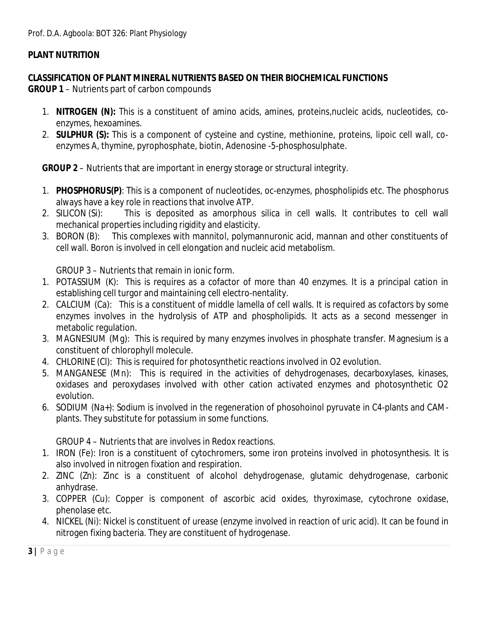# **PLANT NUTRITION**

## **CLASSIFICATION OF PLANT MINERAL NUTRIENTS BASED ON THEIR BIOCHEMICAL FUNCTIONS**

**GROUP 1** – Nutrients part of carbon compounds

- 1. **NITROGEN (N):** This is a constituent of amino acids, amines, proteins,nucleic acids, nucleotides, coenzymes, hexoamines.
- 2. **SULPHUR (S):** This is a component of cysteine and cystine, methionine, proteins, lipoic cell wall, coenzymes A, thymine, pyrophosphate, biotin, Adenosine -5-phosphosulphate.

**GROUP 2** – Nutrients that are important in energy storage or structural integrity.

- 1. **PHOSPHORUS(P)**: This is a component of nucleotides, oc-enzymes, phospholipids etc. The phosphorus always have a key role in reactions that involve ATP.
- 2. SILICON (Si): This is deposited as amorphous silica in cell walls. It contributes to cell wall mechanical properties including rigidity and elasticity.
- 3. BORON (B): This complexes with mannitol, polymannuronic acid, mannan and other constituents of cell wall. Boron is involved in cell elongation and nucleic acid metabolism.

GROUP 3 – Nutrients that remain in ionic form.

- 1. POTASSIUM (K): This is requires as a cofactor of more than 40 enzymes. It is a principal cation in establishing cell turgor and maintaining cell electro-nentality.
- 2. CALCIUM (Ca): This is a constituent of middle lamella of cell walls. It is required as cofactors by some enzymes involves in the hydrolysis of ATP and phospholipids. It acts as a second messenger in metabolic regulation.
- 3. MAGNESIUM (Mg): This is required by many enzymes involves in phosphate transfer. Magnesium is a constituent of chlorophyll molecule.
- 4. CHLORINE (Cl): This is required for photosynthetic reactions involved in O2 evolution.
- 5. MANGANESE (Mn): This is required in the activities of dehydrogenases, decarboxylases, kinases, oxidases and peroxydases involved with other cation activated enzymes and photosynthetic O2 evolution.
- 6. SODIUM (Na+): Sodium is involved in the regeneration of phosohoinol pyruvate in C4-plants and CAMplants. They substitute for potassium in some functions.

GROUP 4 – Nutrients that are involves in Redox reactions.

- 1. IRON (Fe): Iron is a constituent of cytochromers, some iron proteins involved in photosynthesis. It is also involved in nitrogen fixation and respiration.
- 2. ZINC (Zn): Zinc is a constituent of alcohol dehydrogenase, glutamic dehydrogenase, carbonic anhydrase.
- 3. COPPER (Cu): Copper is component of ascorbic acid oxides, thyroximase, cytochrone oxidase, phenolase etc.
- 4. NICKEL (Ni): Nickel is constituent of urease (enzyme involved in reaction of uric acid). It can be found in nitrogen fixing bacteria. They are constituent of hydrogenase.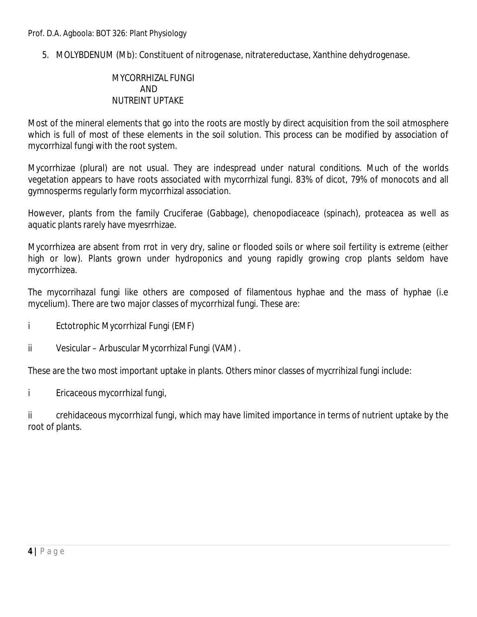5. MOLYBDENUM (Mb): Constituent of nitrogenase, nitratereductase, Xanthine dehydrogenase.

## MYCORRHIZAL FUNGI AND NUTREINT UPTAKE

Most of the mineral elements that go into the roots are mostly by direct acquisition from the soil atmosphere which is full of most of these elements in the soil solution. This process can be modified by association of mycorrhizal fungi with the root system.

Mycorrhizae (plural) are not usual. They are indespread under natural conditions. Much of the worlds vegetation appears to have roots associated with mycorrhizal fungi. 83% of dicot, 79% of monocots and all gymnosperms regularly form mycorrhizal association.

However, plants from the family Cruciferae (Gabbage), chenopodiaceace (spinach), proteacea as well as aquatic plants rarely have myesrrhizae.

Mycorrhizea are absent from rrot in very dry, saline or flooded soils or where soil fertility is extreme (either high or low). Plants grown under hydroponics and young rapidly growing crop plants seldom have mycorrhizea.

The mycorrihazal fungi like others are composed of filamentous hyphae and the mass of hyphae (i.e mycelium). There are two major classes of mycorrhizal fungi. These are:

- i Ectotrophic Mycorrhizal Fungi (EMF)
- ii Vesicular Arbuscular Mycorrhizal Fungi (VAM) .

These are the two most important uptake in plants. Others minor classes of mycrrihizal fungi include:

i Ericaceous mycorrhizal fungi,

ii crehidaceous mycorrhizal fungi, which may have limited importance in terms of nutrient uptake by the root of plants.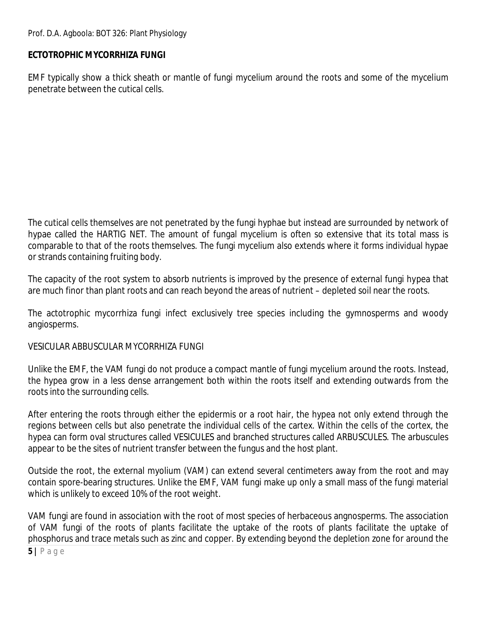# **ECTOTROPHIC MYCORRHIZA FUNGI**

EMF typically show a thick sheath or mantle of fungi mycelium around the roots and some of the mycelium penetrate between the cutical cells.

The cutical cells themselves are not penetrated by the fungi hyphae but instead are surrounded by network of hypae called the HARTIG NET. The amount of fungal mycelium is often so extensive that its total mass is comparable to that of the roots themselves. The fungi mycelium also extends where it forms individual hypae or strands containing fruiting body.

The capacity of the root system to absorb nutrients is improved by the presence of external fungi hypea that are much finor than plant roots and can reach beyond the areas of nutrient – depleted soil near the roots.

The actotrophic mycorrhiza fungi infect exclusively tree species including the gymnosperms and woody angiosperms.

## VESICULAR ABBUSCULAR MYCORRHIZA FUNGI

Unlike the EMF, the VAM fungi do not produce a compact mantle of fungi mycelium around the roots. Instead, the hypea grow in a less dense arrangement both within the roots itself and extending outwards from the roots into the surrounding cells.

After entering the roots through either the epidermis or a root hair, the hypea not only extend through the regions between cells but also penetrate the individual cells of the cartex. Within the cells of the cortex, the hypea can form oval structures called VESICULES and branched structures called ARBUSCULES. The arbuscules appear to be the sites of nutrient transfer between the fungus and the host plant.

Outside the root, the external myolium (VAM) can extend several centimeters away from the root and may contain spore-bearing structures. Unlike the EMF, VAM fungi make up only a small mass of the fungi material which is unlikely to exceed 10% of the root weight.

VAM fungi are found in association with the root of most species of herbaceous angnosperms. The association of VAM fungi of the roots of plants facilitate the uptake of the roots of plants facilitate the uptake of phosphorus and trace metals such as zinc and copper. By extending beyond the depletion zone for around the

**5 |** P a g e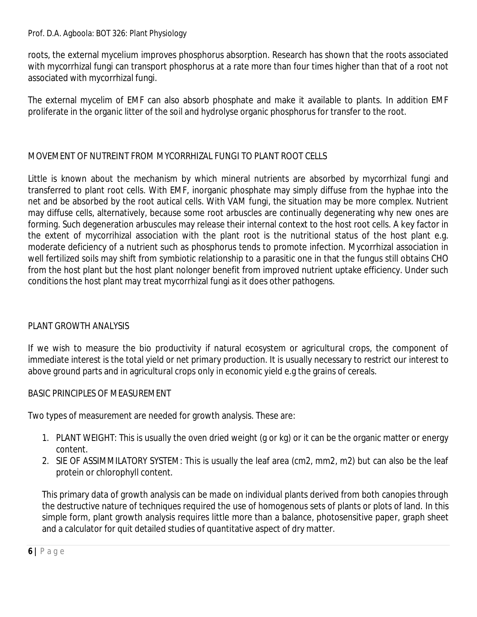roots, the external mycelium improves phosphorus absorption. Research has shown that the roots associated with mycorrhizal fungi can transport phosphorus at a rate more than four times higher than that of a root not associated with mycorrhizal fungi.

The external mycelim of EMF can also absorb phosphate and make it available to plants. In addition EMF proliferate in the organic litter of the soil and hydrolyse organic phosphorus for transfer to the root.

# MOVEMENT OF NUTREINT FROM MYCORRHIZAL FUNGI TO PLANT ROOT CELLS

Little is known about the mechanism by which mineral nutrients are absorbed by mycorrhizal fungi and transferred to plant root cells. With EMF, inorganic phosphate may simply diffuse from the hyphae into the net and be absorbed by the root autical cells. With VAM fungi, the situation may be more complex. Nutrient may diffuse cells, alternatively, because some root arbuscles are continually degenerating why new ones are forming. Such degeneration arbuscules may release their internal context to the host root cells. A key factor in the extent of mycorrihizal association with the plant root is the nutritional status of the host plant e.g. moderate deficiency of a nutrient such as phosphorus tends to promote infection. Mycorrhizal association in well fertilized soils may shift from symbiotic relationship to a parasitic one in that the fungus still obtains CHO from the host plant but the host plant nolonger benefit from improved nutrient uptake efficiency. Under such conditions the host plant may treat mycorrhizal fungi as it does other pathogens.

# PLANT GROWTH ANALYSIS

If we wish to measure the bio productivity if natural ecosystem or agricultural crops, the component of immediate interest is the total yield or net primary production. It is usually necessary to restrict our interest to above ground parts and in agricultural crops only in economic yield e.g the grains of cereals.

## BASIC PRINCIPLES OF MEASUREMENT

Two types of measurement are needed for growth analysis. These are:

- 1. PLANT WEIGHT: This is usually the oven dried weight (g or kg) or it can be the organic matter or energy content.
- 2. SIE OF ASSIMMILATORY SYSTEM: This is usually the leaf area (cm2, mm2, m2) but can also be the leaf protein or chlorophyll content.

This primary data of growth analysis can be made on individual plants derived from both canopies through the destructive nature of techniques required the use of homogenous sets of plants or plots of land. In this simple form, plant growth analysis requires little more than a balance, photosensitive paper, graph sheet and a calculator for quit detailed studies of quantitative aspect of dry matter.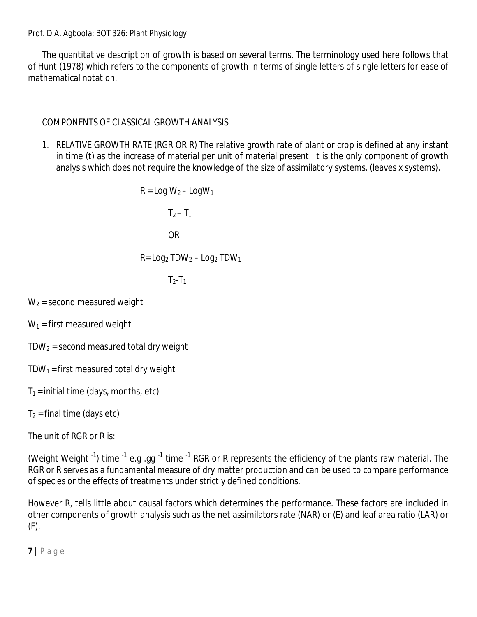The quantitative description of growth is based on several terms. The terminology used here follows that of Hunt (1978) which refers to the components of growth in terms of single letters of single letters for ease of mathematical notation.

# COMPONENTS OF CLASSICAL GROWTH ANALYSIS

1. RELATIVE GROWTH RATE (RGR OR R) The relative growth rate of plant or crop is defined at any instant in time (t) as the increase of material per unit of material present. It is the only component of growth analysis which does not require the knowledge of the size of assimilatory systems. (leaves x systems).

```
R = Log W<sub>2</sub> – Log W<sub>1</sub>
              T_2 - T_1OR
R = Log<sub>2</sub> TDW<sub>2</sub> – Log<sub>2</sub> TDW<sub>1</sub>
              T_2-T_1
```
 $W_2$  = second measured weight

 $W_1$  = first measured weight

 $TDW<sub>2</sub>$  = second measured total dry weight

- TDW<sub>1</sub> = first measured total dry weight
- $T_1$  = initial time (days, months, etc)

 $T_2$  = final time (days etc)

The unit of RGR or R is:

(Weight Weight  $^{-1}$ ) time  $^{-1}$  e.g .gg  $^{-1}$  time  $^{-1}$  RGR or R represents the efficiency of the plants raw material. The RGR or R serves as a fundamental measure of dry matter production and can be used to compare performance of species or the effects of treatments under strictly defined conditions.

However R, tells little about causal factors which determines the performance. These factors are included in other components of growth analysis such as the net assimilators rate (NAR) or (E) and leaf area ratio (LAR) or (F).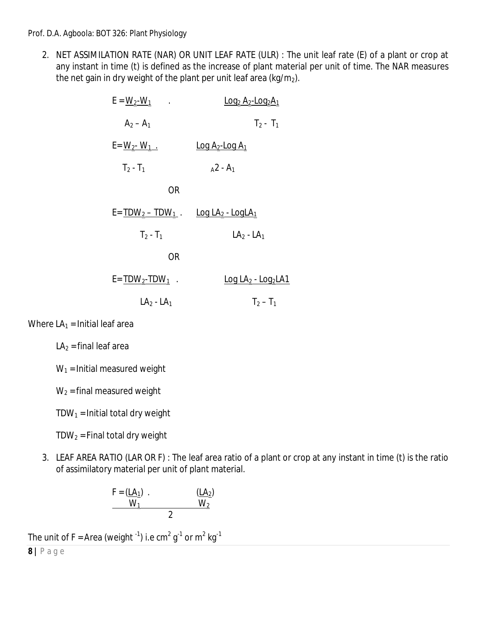2. NET ASSIMILATION RATE (NAR) OR UNIT LEAF RATE (ULR) : The unit leaf rate (E) of a plant or crop at any instant in time (t) is defined as the increase of plant material per unit of time. The NAR measures the net gain in dry weight of the plant per unit leaf area (kg/m<sub>2</sub>).

| $E = W_2-W_1$                                                   | $\underline{Log}_2 A_2$ -Log <sub>2</sub> $A_1$ |
|-----------------------------------------------------------------|-------------------------------------------------|
| $A_2 - A_1$                                                     | $T_2$ - $T_1$                                   |
| $E = W_2 - W_1$ .                                               | $\underline{Log A_2 - Log A_1}$                 |
| $T_2$ - $T_1$                                                   | $A^2 - A_1$                                     |
| <b>OR</b>                                                       |                                                 |
| $E = TDW_2 - TDW_1$ . Log LA <sub>2</sub> - Log LA <sub>1</sub> |                                                 |
| $T_2 - T_1$                                                     | $LA2 - LA1$                                     |
| OR                                                              |                                                 |
| $E = TDW_2 - TDW_1$ .                                           | $Log LA_2 - Log_2LA1$                           |
| $LA2 - LA1$                                                     | $T_2 - T_1$                                     |

Where  $LA<sub>1</sub>$  = Initial leaf area

 $LA<sub>2</sub>$  = final leaf area

 $W_1$  = Initial measured weight

 $W_2$  = final measured weight

 $TDW_1 =$  Initial total dry weight

 $TDW_2$  = Final total dry weight

3. LEAF AREA RATIO (LAR OR F) : The leaf area ratio of a plant or crop at any instant in time (t) is the ratio of assimilatory material per unit of plant material.

$$
F = (\underline{LA_1}) \cdot \underline{(LA_2)}\n\underline{W_1} \underline{W_2}
$$

The unit of F = Area (weight  $^{\text{-1}}$ ) i.e cm $^{\text{2}}$  g $^{\text{-1}}$  or m $^{\text{2}}$  kg $^{\text{-1}}$ 

**8 |** P a g e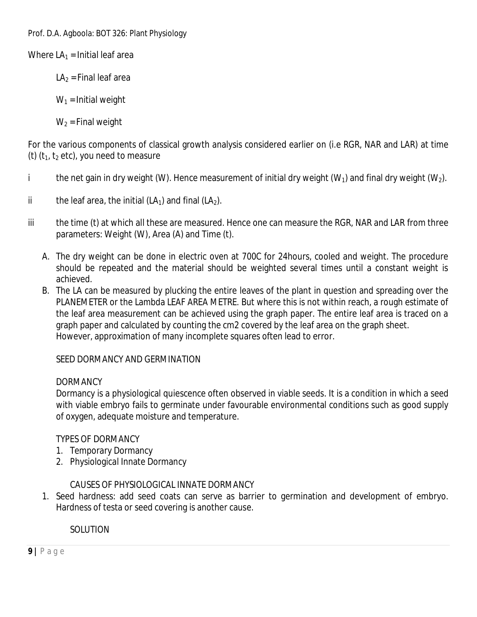Where  $LA_1$  = Initial leaf area

 $LA<sub>2</sub>$  = Final leaf area

 $W_1$  = Initial weight

 $W_2$  = Final weight

For the various components of classical growth analysis considered earlier on (i.e RGR, NAR and LAR) at time (t)  $(t_1, t_2 \text{ etc})$ , you need to measure

- i the net gain in dry weight (W). Hence measurement of initial dry weight (W<sub>1</sub>) and final dry weight (W<sub>2</sub>).
- ii the leaf area, the initial (LA<sub>1</sub>) and final (LA<sub>2</sub>).
- iii the time (t) at which all these are measured. Hence one can measure the RGR, NAR and LAR from three parameters: Weight (W), Area (A) and Time (t).
	- A. The dry weight can be done in electric oven at 700C for 24hours, cooled and weight. The procedure should be repeated and the material should be weighted several times until a constant weight is achieved.
	- B. The LA can be measured by plucking the entire leaves of the plant in question and spreading over the PLANEMETER or the Lambda LEAF AREA METRE. But where this is not within reach, a rough estimate of the leaf area measurement can be achieved using the graph paper. The entire leaf area is traced on a graph paper and calculated by counting the cm2 covered by the leaf area on the graph sheet. However, approximation of many incomplete squares often lead to error.

## SEED DORMANCY AND GERMINATION

## **DORMANCY**

Dormancy is a physiological quiescence often observed in viable seeds. It is a condition in which a seed with viable embryo fails to germinate under favourable environmental conditions such as good supply of oxygen, adequate moisture and temperature.

## TYPES OF DORMANCY

- 1. Temporary Dormancy
- 2. Physiological Innate Dormancy

## CAUSES OF PHYSIOLOGICAL INNATE DORMANCY

1. Seed hardness: add seed coats can serve as barrier to germination and development of embryo. Hardness of testa or seed covering is another cause.

SOLUTION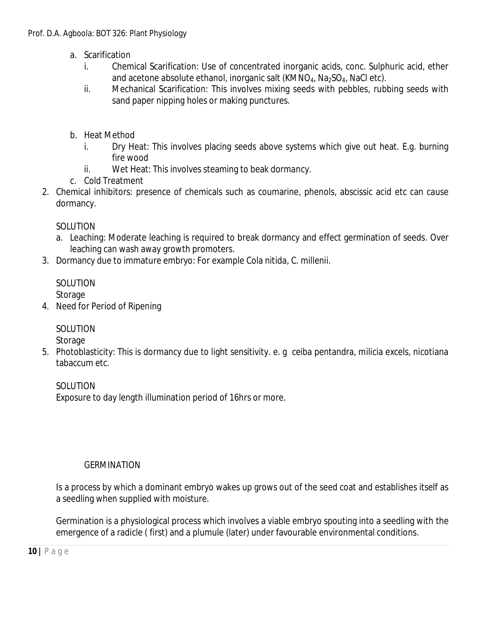- a. Scarification
	- i. Chemical Scarification: Use of concentrated inorganic acids, conc. Sulphuric acid, ether and acetone absolute ethanol, inorganic salt  $(KMNO<sub>4</sub>, Na<sub>2</sub>SO<sub>4</sub>, NaCl etc).$
	- ii. Mechanical Scarification: This involves mixing seeds with pebbles, rubbing seeds with sand paper nipping holes or making punctures.
- b. Heat Method
	- i. Dry Heat: This involves placing seeds above systems which give out heat. E.g. burning fire wood
	- ii. Wet Heat: This involves steaming to beak dormancy.
- c. Cold Treatment
- 2. Chemical inhibitors: presence of chemicals such as coumarine, phenols, abscissic acid etc can cause dormancy.

# SOLUTION

- a. Leaching: Moderate leaching is required to break dormancy and effect germination of seeds. Over leaching can wash away growth promoters.
- 3. Dormancy due to immature embryo: For example Cola nitida, C. millenii.

# SOLUTION

Storage

4. Need for Period of Ripening

# SOLUTION

Storage

5. Photoblasticity: This is dormancy due to light sensitivity. e. g ceiba pentandra, milicia excels, nicotiana tabaccum etc.

# SOLUTION

Exposure to day length illumination period of 16hrs or more.

# **GERMINATION**

Is a process by which a dominant embryo wakes up grows out of the seed coat and establishes itself as a seedling when supplied with moisture.

Germination is a physiological process which involves a viable embryo spouting into a seedling with the emergence of a radicle ( first) and a plumule (later) under favourable environmental conditions.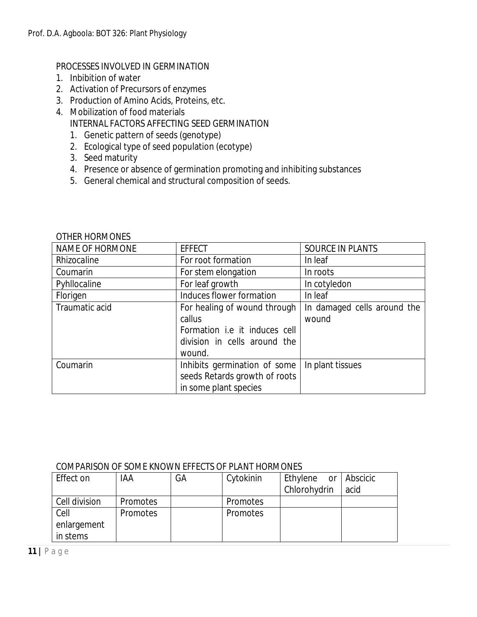### PROCESSES INVOLVED IN GERMINATION

- 1. Inbibition of water
- 2. Activation of Precursors of enzymes
- 3. Production of Amino Acids, Proteins, etc.
- 4. Mobilization of food materials INTERNAL FACTORS AFFECTING SEED GERMINATION
	- 1. Genetic pattern of seeds (genotype)
	- 2. Ecological type of seed population (ecotype)
	- 3. Seed maturity
	- 4. Presence or absence of germination promoting and inhibiting substances
	- 5. General chemical and structural composition of seeds.

| NAME OF HORMONE | <b>EFFECT</b>                 | SOURCE IN PLANTS            |  |
|-----------------|-------------------------------|-----------------------------|--|
| Rhizocaline     | For root formation            | In leaf                     |  |
| Coumarin        | For stem elongation           | In roots                    |  |
| Pyhllocaline    | For leaf growth               | In cotyledon                |  |
| Florigen        | Induces flower formation      | In leaf                     |  |
| Traumatic acid  | For healing of wound through  | In damaged cells around the |  |
|                 | callus                        | wound                       |  |
|                 | Formation i.e it induces cell |                             |  |
|                 | division in cells around the  |                             |  |
|                 | wound.                        |                             |  |
| Coumarin        | Inhibits germination of some  | In plant tissues            |  |
|                 | seeds Retards growth of roots |                             |  |
|                 | in some plant species         |                             |  |

#### OTHER HORMONES

#### COMPARISON OF SOME KNOWN EFFECTS OF PLANT HORMONES

| Effect on     | IAA             | GА | Cytokinin | Ethylene or Abscicic |      |
|---------------|-----------------|----|-----------|----------------------|------|
|               |                 |    |           | Chlorohydrin         | acid |
| Cell division | <b>Promotes</b> |    | Promotes  |                      |      |
| Cell          | Promotes        |    | Promotes  |                      |      |
| enlargement   |                 |    |           |                      |      |
| in stems      |                 |    |           |                      |      |

**11 |** P a g e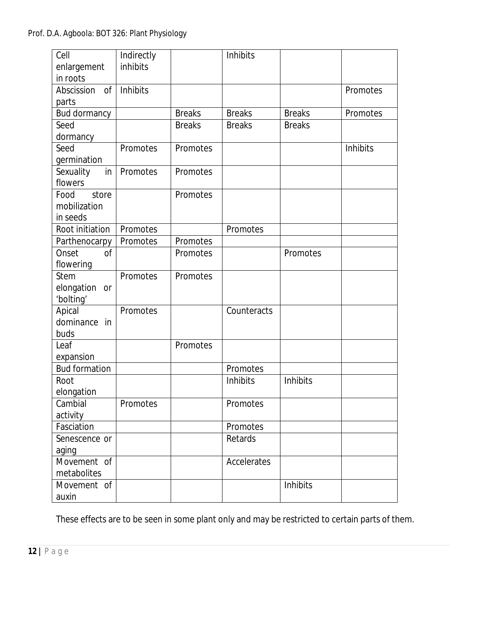| Cell                        | Indirectly |               | Inhibits      |               |          |
|-----------------------------|------------|---------------|---------------|---------------|----------|
|                             | inhibits   |               |               |               |          |
| enlargement                 |            |               |               |               |          |
| in roots                    |            |               |               |               |          |
| $\mathsf{of}$<br>Abscission | Inhibits   |               |               |               | Promotes |
| parts                       |            |               |               |               |          |
| Bud dormancy                |            | <b>Breaks</b> | <b>Breaks</b> | <b>Breaks</b> | Promotes |
| Seed                        |            | <b>Breaks</b> | <b>Breaks</b> | <b>Breaks</b> |          |
| dormancy                    |            |               |               |               |          |
| Seed                        | Promotes   | Promotes      |               |               | Inhibits |
| germination                 |            |               |               |               |          |
| Sexuality<br>in             | Promotes   | Promotes      |               |               |          |
| flowers                     |            |               |               |               |          |
| Food<br>store               |            | Promotes      |               |               |          |
| mobilization                |            |               |               |               |          |
| in seeds                    |            |               |               |               |          |
| Root initiation             | Promotes   |               | Promotes      |               |          |
| Parthenocarpy               | Promotes   | Promotes      |               |               |          |
| Onset<br><sub>Of</sub>      |            | Promotes      |               | Promotes      |          |
| flowering                   |            |               |               |               |          |
| <b>Stem</b>                 | Promotes   | Promotes      |               |               |          |
| elongation<br><b>or</b>     |            |               |               |               |          |
| 'bolting'                   |            |               |               |               |          |
| Apical                      | Promotes   |               | Counteracts   |               |          |
| dominance in                |            |               |               |               |          |
|                             |            |               |               |               |          |
| buds                        |            |               |               |               |          |
| Leaf                        |            | Promotes      |               |               |          |
| expansion                   |            |               |               |               |          |
| <b>Bud formation</b>        |            |               | Promotes      |               |          |
| Root                        |            |               | Inhibits      | Inhibits      |          |
| elongation                  |            |               |               |               |          |
| Cambial                     | Promotes   |               | Promotes      |               |          |
| activity                    |            |               |               |               |          |
| Fasciation                  |            |               | Promotes      |               |          |
| Senescence or               |            |               | Retards       |               |          |
| aging                       |            |               |               |               |          |
| Movement of                 |            |               | Accelerates   |               |          |
| metabolites                 |            |               |               |               |          |
| Movement of                 |            |               |               | Inhibits      |          |
| auxin                       |            |               |               |               |          |

These effects are to be seen in some plant only and may be restricted to certain parts of them.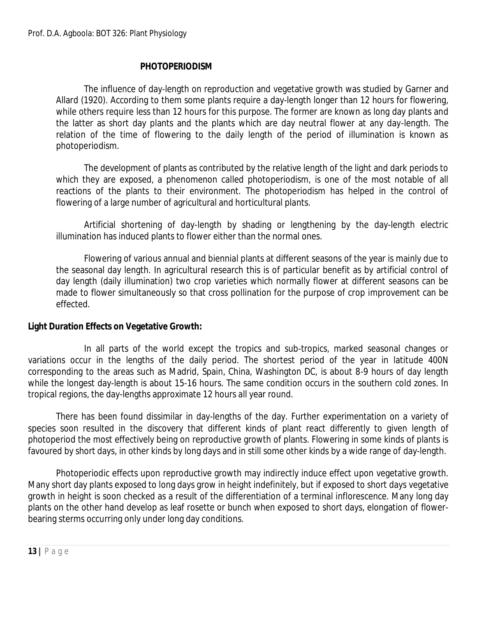### **PHOTOPERIODISM**

The influence of day-length on reproduction and vegetative growth was studied by Garner and Allard (1920). According to them some plants require a day-length longer than 12 hours for flowering, while others require less than 12 hours for this purpose. The former are known as long day plants and the latter as short day plants and the plants which are day neutral flower at any day-length. The relation of the time of flowering to the daily length of the period of illumination is known as photoperiodism.

The development of plants as contributed by the relative length of the light and dark periods to which they are exposed, a phenomenon called photoperiodism, is one of the most notable of all reactions of the plants to their environment. The photoperiodism has helped in the control of flowering of a large number of agricultural and horticultural plants.

Artificial shortening of day-length by shading or lengthening by the day-length electric illumination has induced plants to flower either than the normal ones.

Flowering of various annual and biennial plants at different seasons of the year is mainly due to the seasonal day length. In agricultural research this is of particular benefit as by artificial control of day length (daily illumination) two crop varieties which normally flower at different seasons can be made to flower simultaneously so that cross pollination for the purpose of crop improvement can be effected.

#### **Light Duration Effects on Vegetative Growth:**

In all parts of the world except the tropics and sub-tropics, marked seasonal changes or variations occur in the lengths of the daily period. The shortest period of the year in latitude 400N corresponding to the areas such as Madrid, Spain, China, Washington DC, is about 8-9 hours of day length while the longest day-length is about 15-16 hours. The same condition occurs in the southern cold zones. In tropical regions, the day-lengths approximate 12 hours all year round.

There has been found dissimilar in day-lengths of the day. Further experimentation on a variety of species soon resulted in the discovery that different kinds of plant react differently to given length of photoperiod the most effectively being on reproductive growth of plants. Flowering in some kinds of plants is favoured by short days, in other kinds by long days and in still some other kinds by a wide range of day-length.

Photoperiodic effects upon reproductive growth may indirectly induce effect upon vegetative growth. Many short day plants exposed to long days grow in height indefinitely, but if exposed to short days vegetative growth in height is soon checked as a result of the differentiation of a terminal inflorescence. Many long day plants on the other hand develop as leaf rosette or bunch when exposed to short days, elongation of flowerbearing sterms occurring only under long day conditions.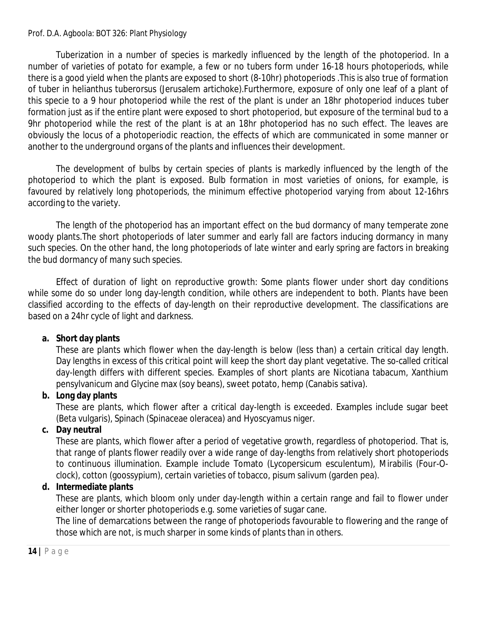Tuberization in a number of species is markedly influenced by the length of the photoperiod. In a number of varieties of potato for example, a few or no tubers form under 16-18 hours photoperiods, while there is a good yield when the plants are exposed to short (8-10hr) photoperiods .This is also true of formation of tuber in helianthus tuberorsus (Jerusalem artichoke).Furthermore, exposure of only one leaf of a plant of this specie to a 9 hour photoperiod while the rest of the plant is under an 18hr photoperiod induces tuber formation just as if the entire plant were exposed to short photoperiod, but exposure of the terminal bud to a 9hr photoperiod while the rest of the plant is at an 18hr photoperiod has no such effect. The leaves are obviously the locus of a photoperiodic reaction, the effects of which are communicated in some manner or another to the underground organs of the plants and influences their development.

The development of bulbs by certain species of plants is markedly influenced by the length of the photoperiod to which the plant is exposed. Bulb formation in most varieties of onions, for example, is favoured by relatively long photoperiods, the minimum effective photoperiod varying from about 12-16hrs according to the variety.

The length of the photoperiod has an important effect on the bud dormancy of many temperate zone woody plants.The short photoperiods of later summer and early fall are factors inducing dormancy in many such species. On the other hand, the long photoperiods of late winter and early spring are factors in breaking the bud dormancy of many such species.

Effect of duration of light on reproductive growth: Some plants flower under short day conditions while some do so under long day-length condition, while others are independent to both. Plants have been classified according to the effects of day-length on their reproductive development. The classifications are based on a 24hr cycle of light and darkness.

# **a. Short day plants**

These are plants which flower when the day-length is below (less than) a certain critical day length. Day lengths in excess of this critical point will keep the short day plant vegetative. The so-called critical day-length differs with different species. Examples of short plants are Nicotiana tabacum, Xanthium pensylvanicum and Glycine max (soy beans), sweet potato, hemp (Canabis sativa).

# **b. Long day plants**

These are plants, which flower after a critical day-length is exceeded. Examples include sugar beet (Beta vulgaris), Spinach (Spinaceae oleracea) and Hyoscyamus niger.

# **c. Day neutral**

These are plants, which flower after a period of vegetative growth, regardless of photoperiod. That is, that range of plants flower readily over a wide range of day-lengths from relatively short photoperiods to continuous illumination. Example include Tomato (Lycopersicum esculentum), Mirabilis (Four-Oclock), cotton (goossypium), certain varieties of tobacco, pisum salivum (garden pea).

# **d. Intermediate plants**

These are plants, which bloom only under day-length within a certain range and fail to flower under either longer or shorter photoperiods e.g. some varieties of sugar cane.

The line of demarcations between the range of photoperiods favourable to flowering and the range of those which are not, is much sharper in some kinds of plants than in others.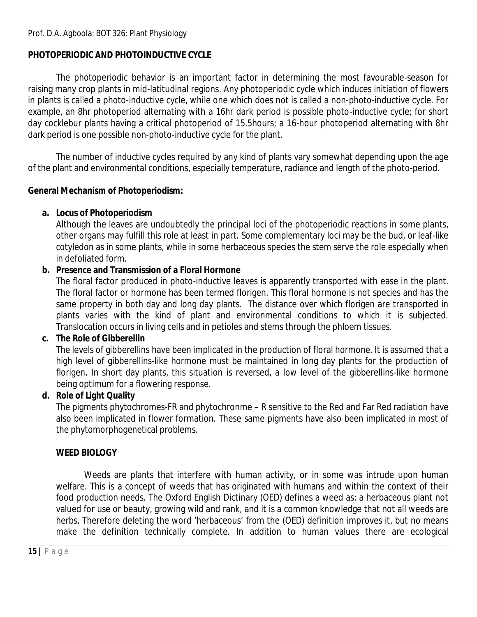# **PHOTOPERIODIC AND PHOTOINDUCTIVE CYCLE**

The photoperiodic behavior is an important factor in determining the most favourable-season for raising many crop plants in mid-latitudinal regions. Any photoperiodic cycle which induces initiation of flowers in plants is called a photo-inductive cycle, while one which does not is called a non-photo-inductive cycle. For example, an 8hr photoperiod alternating with a 16hr dark period is possible photo-inductive cycle; for short day cocklebur plants having a critical photoperiod of 15.5hours; a 16-hour photoperiod alternating with 8hr dark period is one possible non-photo-inductive cycle for the plant.

The number of inductive cycles required by any kind of plants vary somewhat depending upon the age of the plant and environmental conditions, especially temperature, radiance and length of the photo-period.

# **General Mechanism of Photoperiodism:**

# **a. Locus of Photoperiodism**

Although the leaves are undoubtedly the principal loci of the photoperiodic reactions in some plants, other organs may fulfill this role at least in part. Some complementary loci may be the bud, or leaf-like cotyledon as in some plants, while in some herbaceous species the stem serve the role especially when in defoliated form.

# **b. Presence and Transmission of a Floral Hormone**

The floral factor produced in photo-inductive leaves is apparently transported with ease in the plant. The floral factor or hormone has been termed florigen. This floral hormone is not species and has the same property in both day and long day plants. The distance over which florigen are transported in plants varies with the kind of plant and environmental conditions to which it is subjected. Translocation occurs in living cells and in petioles and stems through the phloem tissues.

# **c. The Role of Gibberellin**

The levels of gibberellins have been implicated in the production of floral hormone. It is assumed that a high level of gibberellins-like hormone must be maintained in long day plants for the production of florigen. In short day plants, this situation is reversed, a low level of the gibberellins-like hormone being optimum for a flowering response.

# **d. Role of Light Quality**

The pigments phytochromes-FR and phytochronme – R sensitive to the Red and Far Red radiation have also been implicated in flower formation. These same pigments have also been implicated in most of the phytomorphogenetical problems.

# **WEED BIOLOGY**

Weeds are plants that interfere with human activity, or in some was intrude upon human welfare. This is a concept of weeds that has originated with humans and within the context of their food production needs. The Oxford English Dictinary (OED) defines a weed as: a herbaceous plant not valued for use or beauty, growing wild and rank, and it is a common knowledge that not all weeds are herbs. Therefore deleting the word 'herbaceous' from the (OED) definition improves it, but no means make the definition technically complete. In addition to human values there are ecological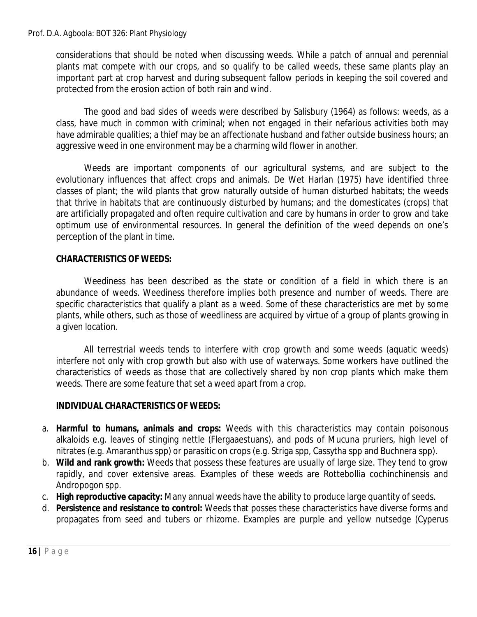considerations that should be noted when discussing weeds. While a patch of annual and perennial plants mat compete with our crops, and so qualify to be called weeds, these same plants play an important part at crop harvest and during subsequent fallow periods in keeping the soil covered and protected from the erosion action of both rain and wind.

The good and bad sides of weeds were described by Salisbury (1964) as follows: weeds, as a class, have much in common with criminal; when not engaged in their nefarious activities both may have admirable qualities; a thief may be an affectionate husband and father outside business hours; an aggressive weed in one environment may be a charming wild flower in another.

Weeds are important components of our agricultural systems, and are subject to the evolutionary influences that affect crops and animals. De Wet Harlan (1975) have identified three classes of plant; the wild plants that grow naturally outside of human disturbed habitats; the weeds that thrive in habitats that are continuously disturbed by humans; and the domesticates (crops) that are artificially propagated and often require cultivation and care by humans in order to grow and take optimum use of environmental resources. In general the definition of the weed depends on one's perception of the plant in time.

### **CHARACTERISTICS OF WEEDS:**

Weediness has been described as the state or condition of a field in which there is an abundance of weeds. Weediness therefore implies both presence and number of weeds. There are specific characteristics that qualify a plant as a weed. Some of these characteristics are met by some plants, while others, such as those of weedliness are acquired by virtue of a group of plants growing in a given location.

All terrestrial weeds tends to interfere with crop growth and some weeds (aquatic weeds) interfere not only with crop growth but also with use of waterways. Some workers have outlined the characteristics of weeds as those that are collectively shared by non crop plants which make them weeds. There are some feature that set a weed apart from a crop.

#### **INDIVIDUAL CHARACTERISTICS OF WEEDS:**

- a. **Harmful to humans, animals and crops:** Weeds with this characteristics may contain poisonous alkaloids e.g. leaves of stinging nettle (Flergaaestuans), and pods of Mucuna pruriers, high level of nitrates (e.g. Amaranthus spp) or parasitic on crops (e.g. Striga spp, Cassytha spp and Buchnera spp).
- b. **Wild and rank growth:** Weeds that possess these features are usually of large size. They tend to grow rapidly, and cover extensive areas. Examples of these weeds are Rottebollia cochinchinensis and Andropogon spp.
- c. **High reproductive capacity:** Many annual weeds have the ability to produce large quantity of seeds.
- d. **Persistence and resistance to control:** Weeds that posses these characteristics have diverse forms and propagates from seed and tubers or rhizome. Examples are purple and yellow nutsedge (Cyperus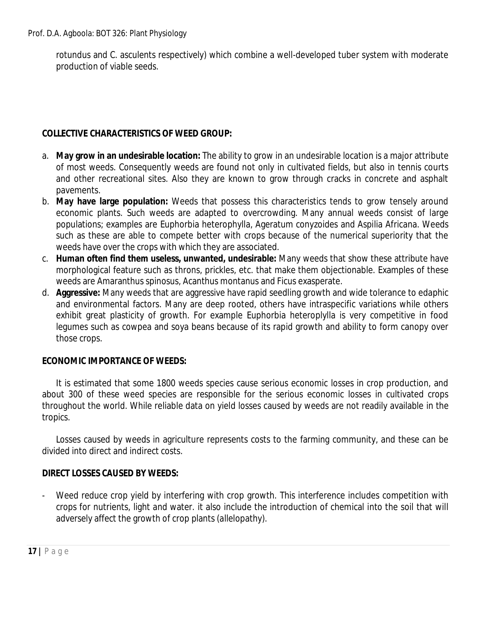rotundus and C. asculents respectively) which combine a well-developed tuber system with moderate production of viable seeds.

## **COLLECTIVE CHARACTERISTICS OF WEED GROUP:**

- a. **May grow in an undesirable location:** The ability to grow in an undesirable location is a major attribute of most weeds. Consequently weeds are found not only in cultivated fields, but also in tennis courts and other recreational sites. Also they are known to grow through cracks in concrete and asphalt pavements.
- b. **May have large population:** Weeds that possess this characteristics tends to grow tensely around economic plants. Such weeds are adapted to overcrowding. Many annual weeds consist of large populations; examples are Euphorbia heterophylla, Ageratum conyzoides and Aspilia Africana. Weeds such as these are able to compete better with crops because of the numerical superiority that the weeds have over the crops with which they are associated.
- c. **Human often find them useless, unwanted, undesirable:** Many weeds that show these attribute have morphological feature such as throns, prickles, etc. that make them objectionable. Examples of these weeds are Amaranthus spinosus, Acanthus montanus and Ficus exasperate.
- d. **Aggressive:** Many weeds that are aggressive have rapid seedling growth and wide tolerance to edaphic and environmental factors. Many are deep rooted, others have intraspecific variations while others exhibit great plasticity of growth. For example Euphorbia heteroplylla is very competitive in food legumes such as cowpea and soya beans because of its rapid growth and ability to form canopy over those crops.

## **ECONOMIC IMPORTANCE OF WEEDS:**

It is estimated that some 1800 weeds species cause serious economic losses in crop production, and about 300 of these weed species are responsible for the serious economic losses in cultivated crops throughout the world. While reliable data on yield losses caused by weeds are not readily available in the tropics.

Losses caused by weeds in agriculture represents costs to the farming community, and these can be divided into direct and indirect costs.

## **DIRECT LOSSES CAUSED BY WEEDS:**

Weed reduce crop yield by interfering with crop growth. This interference includes competition with crops for nutrients, light and water. it also include the introduction of chemical into the soil that will adversely affect the growth of crop plants (allelopathy).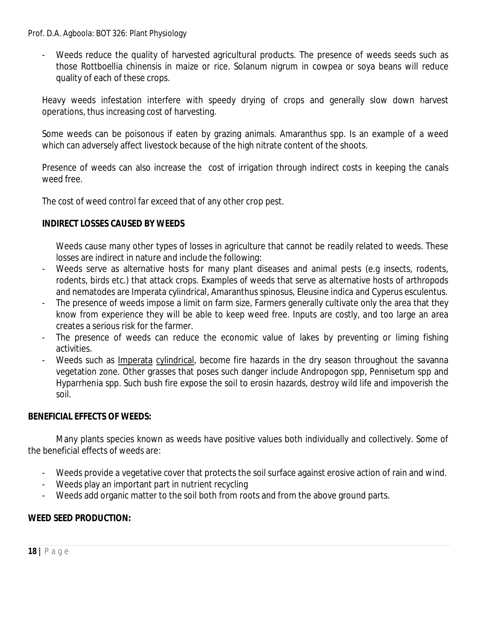- Weeds reduce the quality of harvested agricultural products. The presence of weeds seeds such as those Rottboellia chinensis in maize or rice. Solanum nigrum in cowpea or soya beans will reduce quality of each of these crops.

Heavy weeds infestation interfere with speedy drying of crops and generally slow down harvest operations, thus increasing cost of harvesting.

Some weeds can be poisonous if eaten by grazing animals. Amaranthus spp. Is an example of a weed which can adversely affect livestock because of the high nitrate content of the shoots.

Presence of weeds can also increase the cost of irrigation through indirect costs in keeping the canals weed free.

The cost of weed control far exceed that of any other crop pest.

### **INDIRECT LOSSES CAUSED BY WEEDS**

Weeds cause many other types of losses in agriculture that cannot be readily related to weeds. These losses are indirect in nature and include the following:

- Weeds serve as alternative hosts for many plant diseases and animal pests (e.g insects, rodents, rodents, birds etc.) that attack crops. Examples of weeds that serve as alternative hosts of arthropods and nematodes are Imperata cylindrical, Amaranthus spinosus, Eleusine indica and Cyperus esculentus.
- The presence of weeds impose a limit on farm size, Farmers generally cultivate only the area that they know from experience they will be able to keep weed free. Inputs are costly, and too large an area creates a serious risk for the farmer.
- The presence of weeds can reduce the economic value of lakes by preventing or liming fishing activities.
- Weeds such as Imperata cylindrical, become fire hazards in the dry season throughout the savanna vegetation zone. Other grasses that poses such danger include Andropogon spp, Pennisetum spp and Hyparrhenia spp. Such bush fire expose the soil to erosin hazards, destroy wild life and impoverish the soil.

## **BENEFICIAL EFFECTS OF WEEDS:**

Many plants species known as weeds have positive values both individually and collectively. Some of the beneficial effects of weeds are:

- Weeds provide a vegetative cover that protects the soil surface against erosive action of rain and wind.
- Weeds play an important part in nutrient recycling
- Weeds add organic matter to the soil both from roots and from the above ground parts.

## **WEED SEED PRODUCTION:**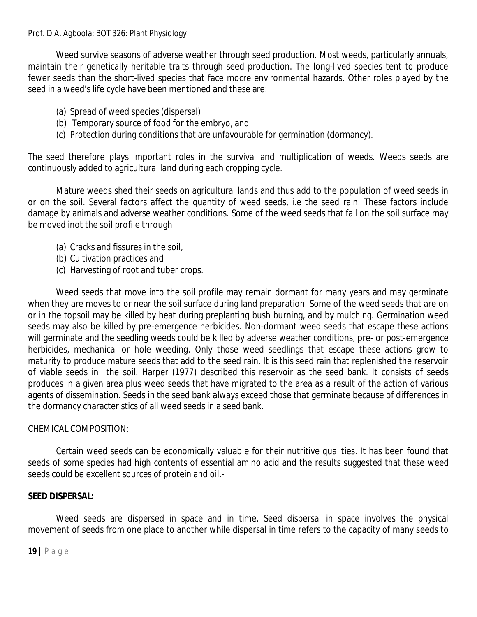Weed survive seasons of adverse weather through seed production. Most weeds, particularly annuals, maintain their genetically heritable traits through seed production. The long-lived species tent to produce fewer seeds than the short-lived species that face mocre environmental hazards. Other roles played by the seed in a weed's life cycle have been mentioned and these are:

- (a) Spread of weed species (dispersal)
- (b) Temporary source of food for the embryo, and
- (c) Protection during conditions that are unfavourable for germination (dormancy).

The seed therefore plays important roles in the survival and multiplication of weeds. Weeds seeds are continuously added to agricultural land during each cropping cycle.

Mature weeds shed their seeds on agricultural lands and thus add to the population of weed seeds in or on the soil. Several factors affect the quantity of weed seeds, i.e the seed rain. These factors include damage by animals and adverse weather conditions. Some of the weed seeds that fall on the soil surface may be moved inot the soil profile through

- (a) Cracks and fissures in the soil,
- (b) Cultivation practices and
- (c) Harvesting of root and tuber crops.

Weed seeds that move into the soil profile may remain dormant for many years and may germinate when they are moves to or near the soil surface during land preparation. Some of the weed seeds that are on or in the topsoil may be killed by heat during preplanting bush burning, and by mulching. Germination weed seeds may also be killed by pre-emergence herbicides. Non-dormant weed seeds that escape these actions will germinate and the seedling weeds could be killed by adverse weather conditions, pre- or post-emergence herbicides, mechanical or hole weeding. Only those weed seedlings that escape these actions grow to maturity to produce mature seeds that add to the seed rain. It is this seed rain that replenished the reservoir of viable seeds in the soil. Harper (1977) described this reservoir as the seed bank. It consists of seeds produces in a given area plus weed seeds that have migrated to the area as a result of the action of various agents of dissemination. Seeds in the seed bank always exceed those that germinate because of differences in the dormancy characteristics of all weed seeds in a seed bank.

#### CHEMICAL COMPOSITION:

Certain weed seeds can be economically valuable for their nutritive qualities. It has been found that seeds of some species had high contents of essential amino acid and the results suggested that these weed seeds could be excellent sources of protein and oil.-

## **SEED DISPERSAL:**

Weed seeds are dispersed in space and in time. Seed dispersal in space involves the physical movement of seeds from one place to another while dispersal in time refers to the capacity of many seeds to